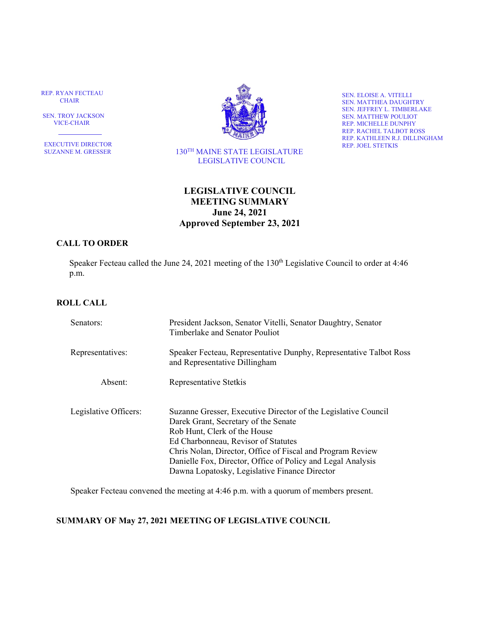REP. RYAN FECTEAU CHAIR

 SEN. TROY JACKSON VICE-CHAIR

٦ EXECUTIVE DIRECTOR SUZANNE M. GRESSER



 130TH MAINE STATE LEGISLATURE LEGISLATIVE COUNCIL

SEN. ELOISE A. VITELLI SEN. MATTHEA DAUGHTRY SEN. JEFFREY L. TIMBERLAKE SEN. MATTHEW POULIOT REP. MICHELLE DUNPHY REP. RACHEL TALBOT ROSS REP. KATHLEEN R.J. DILLINGHAM REP. JOEL STETKIS

# **LEGISLATIVE COUNCIL MEETING SUMMARY June 24, 2021 Approved September 23, 2021**

# **CALL TO ORDER**

Speaker Fecteau called the June 24, 2021 meeting of the 130<sup>th</sup> Legislative Council to order at 4:46 p.m.

# **ROLL CALL**

| Senators:             | President Jackson, Senator Vitelli, Senator Daughtry, Senator<br>Timberlake and Senator Pouliot                                                                                                                                                                                                                                                             |
|-----------------------|-------------------------------------------------------------------------------------------------------------------------------------------------------------------------------------------------------------------------------------------------------------------------------------------------------------------------------------------------------------|
| Representatives:      | Speaker Fecteau, Representative Dunphy, Representative Talbot Ross<br>and Representative Dillingham                                                                                                                                                                                                                                                         |
| Absent:               | Representative Stetkis                                                                                                                                                                                                                                                                                                                                      |
| Legislative Officers: | Suzanne Gresser, Executive Director of the Legislative Council<br>Darek Grant, Secretary of the Senate<br>Rob Hunt, Clerk of the House<br>Ed Charbonneau, Revisor of Statutes<br>Chris Nolan, Director, Office of Fiscal and Program Review<br>Danielle Fox, Director, Office of Policy and Legal Analysis<br>Dawna Lopatosky, Legislative Finance Director |

Speaker Fecteau convened the meeting at 4:46 p.m. with a quorum of members present.

## **SUMMARY OF May 27, 2021 MEETING OF LEGISLATIVE COUNCIL**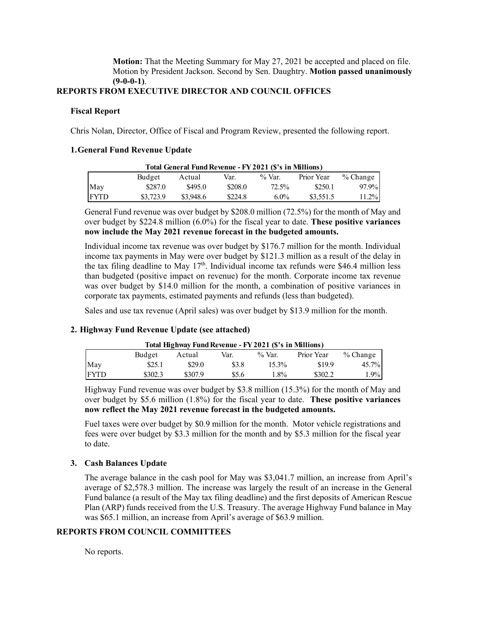**Motion:** That the Meeting Summary for May 27, 2021 be accepted and placed on file. Motion by President Jackson. Second by Sen. Daughtry. **Motion passed unanimously (9-0-0-1)**.

# **REPORTS FROM EXECUTIVE DIRECTOR AND COUNCIL OFFICES**

#### **Fiscal Report**

Chris Nolan, Director, Office of Fiscal and Program Review, presented the following report.

#### **1.General Fund Revenue Update**

|             |           | Total General Fund Revenue - FY 2021 (\$'s in Millions) |         |           |            |            |
|-------------|-----------|---------------------------------------------------------|---------|-----------|------------|------------|
|             | Budget    | Actual                                                  | Var.    | $\%$ Var. | Prior Year | $%$ Change |
| May         | \$287.0   | \$495.0                                                 | \$208.0 | 72.5%     | \$250.1    | 97.9%      |
| <b>FYTD</b> | \$3,723.9 | \$3,948.6                                               | \$224.8 | $6.0\%$   | \$3,551.5  | 11.2%      |

General Fund revenue was over budget by \$208.0 million (72.5%) for the month of May and over budget by \$224.8 million (6.0%) for the fiscal year to date. **These positive variances now include the May 2021 revenue forecast in the budgeted amounts.** 

Individual income tax revenue was over budget by \$176.7 million for the month. Individual income tax payments in May were over budget by \$121.3 million as a result of the delay in the tax filing deadline to May  $17<sup>th</sup>$ . Individual income tax refunds were \$46.4 million less than budgeted (positive impact on revenue) for the month. Corporate income tax revenue was over budget by \$14.0 million for the month, a combination of positive variances in corporate tax payments, estimated payments and refunds (less than budgeted).

Sales and use tax revenue (April sales) was over budget by \$13.9 million for the month.

## **2. Highway Fund Revenue Update (see attached)**

|             |         | Total Highway Fund Revenue - FY 2021 (\$'s in Millions) |       |           |            |            |
|-------------|---------|---------------------------------------------------------|-------|-----------|------------|------------|
|             | Budget  | Actual                                                  | Var.  | $\%$ Var. | Prior Year | $%$ Change |
| May         | \$25.1  | \$29.0                                                  | \$3.8 | 15.3%     | \$19.9     | 45.7%      |
| <b>FYTD</b> | \$302.3 | \$307.9                                                 | \$5.6 | $1.8\%$   | \$302.2    | $1.9\%$    |

Highway Fund revenue was over budget by \$3.8 million (15.3%) for the month of May and over budget by \$5.6 million (1.8%) for the fiscal year to date. **These positive variances now reflect the May 2021 revenue forecast in the budgeted amounts.** 

Fuel taxes were over budget by \$0.9 million for the month. Motor vehicle registrations and fees were over budget by \$3.3 million for the month and by \$5.3 million for the fiscal year to date.

## **3. Cash Balances Update**

The average balance in the cash pool for May was \$3,041.7 million, an increase from April's average of \$2,578.3 million. The increase was largely the result of an increase in the General Fund balance (a result of the May tax filing deadline) and the first deposits of American Rescue Plan (ARP) funds received from the U.S. Treasury. The average Highway Fund balance in May was \$65.1 million, an increase from April's average of \$63.9 million.

## **REPORTS FROM COUNCIL COMMITTEES**

No reports.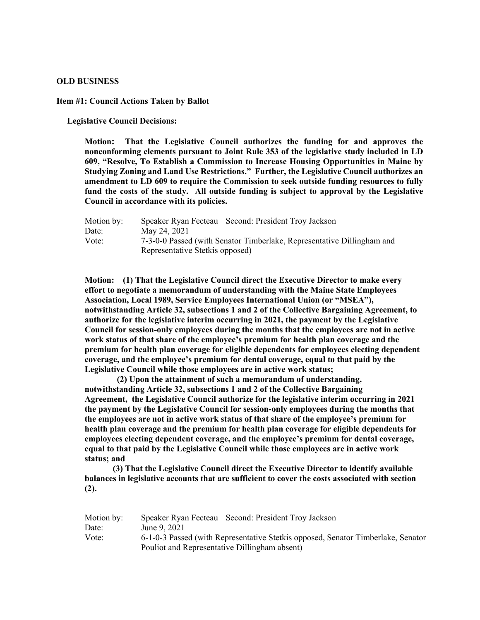#### **OLD BUSINESS**

**Item #1: Council Actions Taken by Ballot**

 **Legislative Council Decisions:** 

**Motion: That the Legislative Council authorizes the funding for and approves the nonconforming elements pursuant to Joint Rule 353 of the legislative study included in LD 609, "Resolve, To Establish a Commission to Increase Housing Opportunities in Maine by Studying Zoning and Land Use Restrictions." Further, the Legislative Council authorizes an amendment to LD 609 to require the Commission to seek outside funding resources to fully fund the costs of the study. All outside funding is subject to approval by the Legislative Council in accordance with its policies.**

| Speaker Ryan Fecteau Second: President Troy Jackson                    |  |  |  |
|------------------------------------------------------------------------|--|--|--|
| May 24, 2021                                                           |  |  |  |
| 7-3-0-0 Passed (with Senator Timberlake, Representative Dillingham and |  |  |  |
| Representative Stetkis opposed)                                        |  |  |  |
|                                                                        |  |  |  |

**Motion: (1) That the Legislative Council direct the Executive Director to make every effort to negotiate a memorandum of understanding with the Maine State Employees Association, Local 1989, Service Employees International Union (or "MSEA"), notwithstanding Article 32, subsections 1 and 2 of the Collective Bargaining Agreement, to authorize for the legislative interim occurring in 2021, the payment by the Legislative Council for session-only employees during the months that the employees are not in active work status of that share of the employee's premium for health plan coverage and the premium for health plan coverage for eligible dependents for employees electing dependent coverage, and the employee's premium for dental coverage, equal to that paid by the Legislative Council while those employees are in active work status;** 

 **(2) Upon the attainment of such a memorandum of understanding, notwithstanding Article 32, subsections 1 and 2 of the Collective Bargaining Agreement, the Legislative Council authorize for the legislative interim occurring in 2021 the payment by the Legislative Council for session-only employees during the months that the employees are not in active work status of that share of the employee's premium for health plan coverage and the premium for health plan coverage for eligible dependents for employees electing dependent coverage, and the employee's premium for dental coverage, equal to that paid by the Legislative Council while those employees are in active work status; and**

**(3) That the Legislative Council direct the Executive Director to identify available balances in legislative accounts that are sufficient to cover the costs associated with section (2).**

| Motion by: | Speaker Ryan Fecteau Second: President Troy Jackson                              |  |  |  |
|------------|----------------------------------------------------------------------------------|--|--|--|
| Date:      | June 9, 2021                                                                     |  |  |  |
| Vote:      | 6-1-0-3 Passed (with Representative Stetkis opposed, Senator Timberlake, Senator |  |  |  |
|            | Pouliot and Representative Dillingham absent)                                    |  |  |  |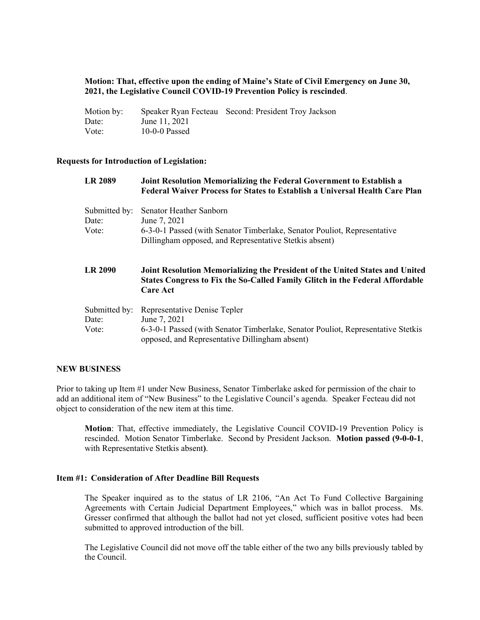# **Motion: That, effective upon the ending of Maine's State of Civil Emergency on June 30, 2021, the Legislative Council COVID-19 Prevention Policy is rescinded**.

| Motion by: |                 | Speaker Ryan Fecteau Second: President Troy Jackson |
|------------|-----------------|-----------------------------------------------------|
| Date:      | June 11, 2021   |                                                     |
| Vote:      | $10-0-0$ Passed |                                                     |

## **Requests for Introduction of Legislation:**

| <b>LR 2089</b>         | Joint Resolution Memorializing the Federal Government to Establish a<br><b>Federal Waiver Process for States to Establish a Universal Health Care Plan</b>                      |
|------------------------|---------------------------------------------------------------------------------------------------------------------------------------------------------------------------------|
| Submitted by:<br>Date: | Senator Heather Sanborn<br>June 7, 2021                                                                                                                                         |
| Vote:                  | 6-3-0-1 Passed (with Senator Timberlake, Senator Pouliot, Representative<br>Dillingham opposed, and Representative Stetkis absent)                                              |
| <b>LR 2090</b>         | Joint Resolution Memorializing the President of the United States and United<br>States Congress to Fix the So-Called Family Glitch in the Federal Affordable<br><b>Care Act</b> |
| Submitted by:          |                                                                                                                                                                                 |

## **NEW BUSINESS**

Prior to taking up Item #1 under New Business, Senator Timberlake asked for permission of the chair to add an additional item of "New Business" to the Legislative Council's agenda. Speaker Fecteau did not object to consideration of the new item at this time.

**Motion**: That, effective immediately, the Legislative Council COVID-19 Prevention Policy is rescinded. Motion Senator Timberlake. Second by President Jackson. **Motion passed (9-0-0-1**, with Representative Stetkis absent**)**.

# **Item #1: Consideration of After Deadline Bill Requests**

The Speaker inquired as to the status of LR 2106, "An Act To Fund Collective Bargaining Agreements with Certain Judicial Department Employees," which was in ballot process. Ms. Gresser confirmed that although the ballot had not yet closed, sufficient positive votes had been submitted to approved introduction of the bill.

The Legislative Council did not move off the table either of the two any bills previously tabled by the Council.